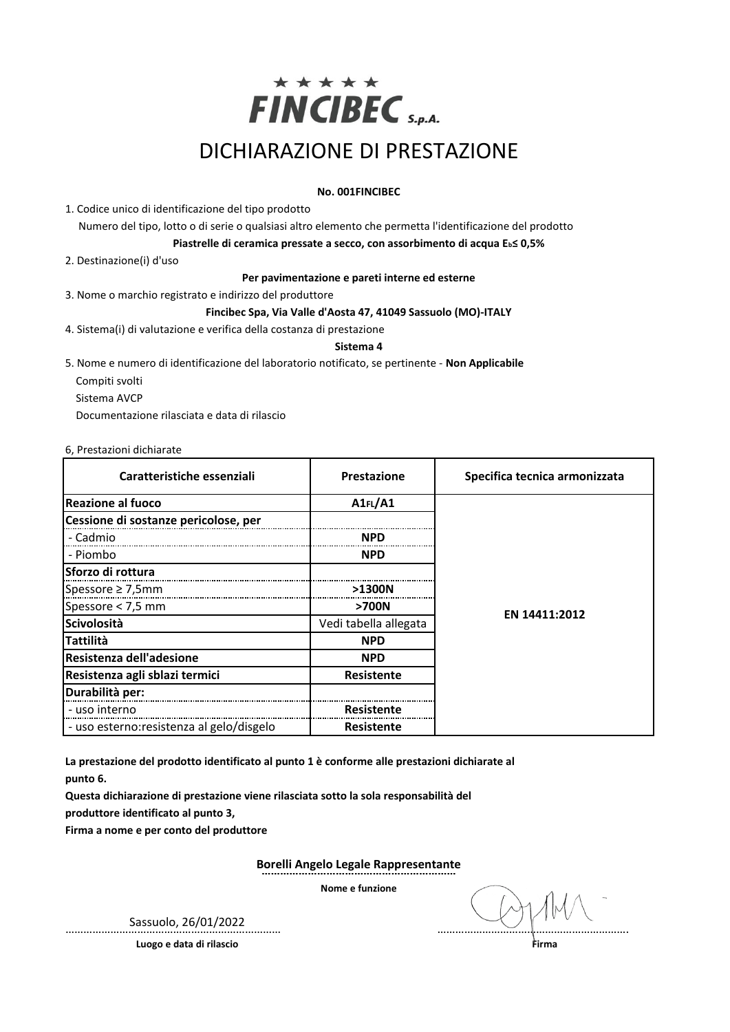

# DICHIARAZIONE DI PRESTAZIONE

## **No. 001FINCIBEC**

1. Codice unico di identificazione del tipo prodotto

Numero del tipo, lotto o di serie o qualsiasi altro elemento che permetta l'identificazione del prodotto

**Piastrelle di ceramica pressate a secco, con assorbimento di acqua Eb≤ 0,5%**

2. Destinazione(i) d'uso

#### **Per pavimentazione e pareti interne ed esterne**

3. Nome o marchio registrato e indirizzo del produttore

### **Fincibec Spa, Via Valle d'Aosta 47, 41049 Sassuolo (MO)-ITALY**

4. Sistema(i) di valutazione e verifica della costanza di prestazione

### **Sistema 4**

5. Nome e numero di identificazione del laboratorio notificato, se pertinente - **Non Applicabile**

- Compiti svolti
- Sistema AVCP

Documentazione rilasciata e data di rilascio

### 6, Prestazioni dichiarate

| Caratteristiche essenziali                | Prestazione           | Specifica tecnica armonizzata |  |  |
|-------------------------------------------|-----------------------|-------------------------------|--|--|
| <b>IReazione al fuoco</b>                 | A1FL/A1               |                               |  |  |
| Cessione di sostanze pericolose, per      |                       |                               |  |  |
| - Cadmio                                  | <b>NPD</b>            |                               |  |  |
| - Piombo                                  | <b>NPD</b>            |                               |  |  |
| lSforzo di rottura                        |                       |                               |  |  |
| Spessore $\geq$ 7,5mm                     | $>1300N$              |                               |  |  |
| Spessore < 7,5 mm                         | >700N                 | EN 14411:2012                 |  |  |
| Scivolosità                               | Vedi tabella allegata |                               |  |  |
| <b>Tattilità</b>                          | <b>NPD</b>            |                               |  |  |
| Resistenza dell'adesione                  | <b>NPD</b>            |                               |  |  |
| Resistenza agli sblazi termici            | Resistente            |                               |  |  |
| Durabilità per:                           |                       |                               |  |  |
| - uso interno                             | Resistente            |                               |  |  |
| - uso esterno: resistenza al gelo/disgelo | Resistente            |                               |  |  |

**La prestazione del prodotto identificato al punto 1 è conforme alle prestazioni dichiarate al** 

**punto 6.**

**Questa dichiarazione di prestazione viene rilasciata sotto la sola responsabilità del** 

**produttore identificato al punto 3,**

**Firma a nome e per conto del produttore**

**Borelli Angelo Legale Rappresentante ………………………………………………………**

**Nome e funzione**

**Luogo e data di rilascio Firma**

Sassuolo, 26/01/2022 ……………………………………………………………… ……………………………………………………….